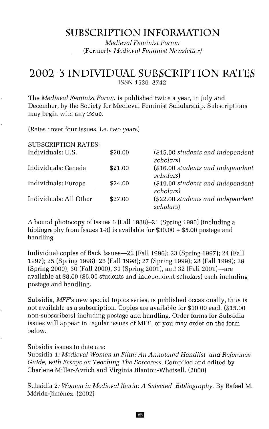# **SUBSCRIPTION INFORMATION**

*Medieval Feminist Forum* (Formerly *Medieval Feminist Newsletter)*

# **2002-3 INDIVIDUAL SUBSCRIPTION RATES** ISSN 1536-8742

The *Medieval Feminist Forum* is published twice a year, in July and December, by the Society for Medieval Feminist Scholarship. Subscriptions may begin with any issue.

(Rates cover four issues, i.e. two years)

| <b>SUBSCRIPTION RATES:</b> |         |                                                        |
|----------------------------|---------|--------------------------------------------------------|
| Individuals: U.S.          | \$20.00 | (\$15.00 students and independent<br><i>scholars</i> ) |
| Individuals: Canada        | \$21.00 | (\$16.00 students and independent<br>scholars)         |
| Individuals: Europe        | \$24.00 | (\$19.00 students and independent<br>scholars)         |
| Individuals: All Other     | \$27.00 | (\$22.00 students and independent<br>scholars)         |

A bound photocopy of Issues 6 (Fall 1988)–21 (Spring 1996) (including a bibliography from Issues 1-8) is available for \$30.00 + \$5.00 postage and handling.

Individual copies of Back Issues-22 (Fall 1996); 23 (Spring 1997); 24 (Fall 1997); 25 (Spring 1998); 26 (Fall 1998); 27 (Spring 1999); 28 (Fall 1999); 29 (Spring 2000); 30 (Fall 2000), 31 (Spring 2001), and 32 (Fall 2001)-are available at \$8.00 (\$6.00 students and independent scholars) each including postage and handling.

Subsidia, *MFF's* new special topics series, is published occasionally, thus is not available as a subscription. Copies are available for \$10.00 each (\$15.00 non-subscribers) including postage and handling. Order forms for Subsidia issues will appear in regular issues of MFF, or you may order on the form below.

Subsidia issues to date are:

Subsidia 1: *Medieval Women in Film: An Annotated Handlist and Reference Guide, with Essays on Teaching The Sorceress.* Compiled and edited by Charlene Miller-Avrich and Virginia Blanton-Whetsell. (2000)

Subsidia 2: *Women in Medieval Iberia: A Selected Bibliography.* By Rafael M. Merida-Iimenez, (2002)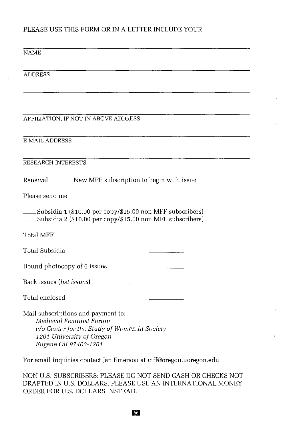# PLEASE USE THIS FORM OR IN A LETTER INCLUDE YOUR

### NAME

ADDRESS

### AFFILIATION, IF NOT IN ABOVE ADDRESS

E-MAIL ADDRESS

### RESEARCH INTERESTS

Renewal\_\_\_\_\_\_\_ New MFF subscription to begin with issue\_\_\_\_\_

Please send me

\_\_Subsidia <sup>1</sup> (\$10.00 per copy/\$15.00 non MFF subscribers) \_\_Subsidia 2 (\$10.00 per copy/\$15.00 non MFF subscribers)

Total MFF

Total Subsidia

Bound photocopy of 6 issues

Back Issues *(list issues)* \_

Total enclosed

Mail subscriptions and payment to: *Medieval Feminist Forum* c/o *Center for the Study of Women in Society 1201 University of Oregon Eugene OR 97403-1201*

For email inquiries contact Jan Emerson at mff@oregon,uoregon.edu

NON U.S. SUBSCRIBERS: PLEASE DO NOT SEND CASH OR CHECKS NOT DRAFTED IN U.S. DOLLARS. PLEASE USE AN INTERNATIONAL MONEY ORDER FOR U,S, DOLLARS INSTEAD.

66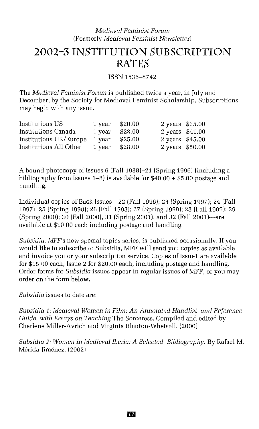## *Medieval Feminist Forum* (Formerly *Medieval Feminist Newsletter]*

# 2002~3 **INSTITUTION SUBSCRIPTION RATES**

ISSN 1536-8742

The *Medieval Feminist Forum* is published twice a year, in July and December, by the Society for Medieval Feminist Scholarship. Subscriptions may begin with any issue.

| Institutions US        | 1 year | \$20.00 | 2 years \$35.00 |  |
|------------------------|--------|---------|-----------------|--|
| Institutions Canada    | 1 year | \$23.00 | 2 years \$41.00 |  |
| Institutions UK/Europe | 1 year | \$25.00 | 2 years \$45.00 |  |
| Institutions All Other | 1 year | \$28.00 | 2 years \$50.00 |  |

A bound photocopy of Issues 6 (Fall 1988)-21 (Spring 1996) (including a bibliography from Issues 1-8) is available for  $\frac{1}{200}$  + \$5.00 postage and handling.

Individual copies of Back Issues-22 (Fall 1996); 23 (Spring 1997); 24 (Fall 1997); 25 (Spring 1998); 26 (Fall 1998); 27 (Spring 1999); 28 (Fall 1999); 29 (Spring 2000); 30 (Fall 2000), 31 (Spring 2001), and 32 (Fall 2001)-are available at \$10.00 each including postage and handling.

*Subsidia, MFF's* new special topics series, is published occasionally. If you would like to subscribe to Subsidia, MFF will send you copies as available and invoice you or your subscription service, Copies of Issuel are available for \$15.00 each, Issue 2 for \$20,00 each, including postage and handling. Order forms for *Subsidia* issues appear in regular issues of MFF, or you may order on the form below.

*Subsidia* issues to date are:

*Subsidia* 1: *Medieval Women in Film: An Annotated Handlist and Reference Guide, with Essays on Teaching* The Sorceress. Compiled and edited by Charlene Miller-Avrich and Virginia Blanton-Whetsell. (2000)

*Subsidia* 2: *Women in Medieval Iberia: A Selected Bibliography.* By Rafael M. Mérida-Jiménez, (2002)